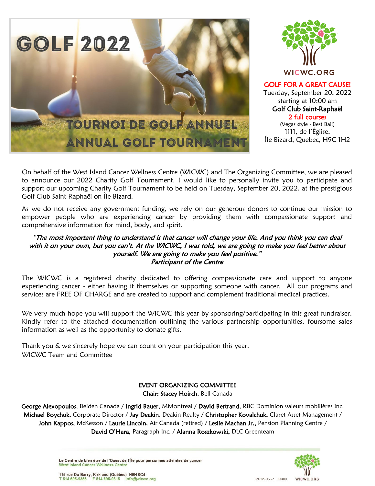



GOLF FOR A GREAT CAUSE! Tuesday, September 20, 2022 starting at 10:00 am Golf Club Saint-Raphaël 2 full courses

(Vegas style - Best Ball) 1111, de l'Église, Íle Bizard, Quebec, H9C 1H2

On behalf of the West Island Cancer Wellness Centre (WICWC) and The Organizing Committee, we are pleased to announce our 2022 Charity Golf Tournament. I would like to personally invite you to participate and support our upcoming Charity Golf Tournament to be held on Tuesday, September 20, 2022, at the prestigious Golf Club Saint-Raphaël on Île Bizard.

As we do not receive any government funding, we rely on our generous donors to continue our mission to empower people who are experiencing cancer by providing them with compassionate support and comprehensive information for mind, body, and spirit.

#### "The most important thing to understand is that cancer will change your life. And you think you can deal with it on your own, but you can't. At the WICWC, I was told, we are going to make you feel better about yourself. We are going to make you feel positive." Participant of the Centre

The WICWC is a registered charity dedicated to offering compassionate care and support to anyone experiencing cancer - either having it themselves or supporting someone with cancer. All our programs and services are FREE OF CHARGE and are created to support and complement traditional medical practices.

We very much hope you will support the WICWC this year by sponsoring/participating in this great fundraiser. Kindly refer to the attached documentation outlining the various partnership opportunities, foursome sales information as well as the opportunity to donate gifts.

Thank you & we sincerely hope we can count on your participation this year. WICWC Team and Committee

#### EVENT ORGANIZING COMMITTEE

Chair: Stacey Hoirch, Bell Canada

George Alexopoulos, Belden Canada / Ingrid Bauer, MMontreal / David Bertrand, RBC Dominion valeurs mobilières Inc. Michael Boychuk, Corporate Director / Jay Deakin, Deakin Realty / Christopher Kovalchuk, Claret Asset Management / John Kappos, McKesson / Laurie Lincoln, Air Canada (retired) / Leslie Machan Jr., Pension Planning Centre / David O'Hara, Paragraph Inc. / Alanna Roszkowski, DLC Greenteam

> Le Centre de bien-être de l'Ouest-de-l'Île pour personnes atteintes de cancer West Island Cancer Wellness Centre



115 rue Du Barry, Kirkland (Québec) H9H 0C4 T 514 695-9355 F 514 695-9315 info@wicwc.org

BN 85521 2221 RR0001 WICWC.ORG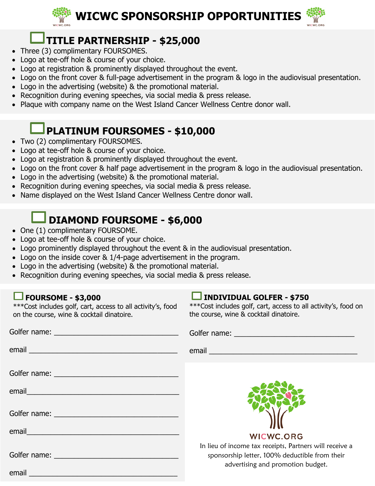

### **TITLE PARTNERSHIP - \$25,000**

- Three (3) complimentary FOURSOMES.
- Logo at tee-off hole & course of your choice.
- Logo at registration & prominently displayed throughout the event.
- Logo on the front cover & full-page advertisement in the program & logo in the audiovisual presentation.
- Logo in the advertising (website) & the promotional material.
- Recognition during evening speeches, via social media & press release.
- Plaque with company name on the West Island Cancer Wellness Centre donor wall.

## **PLATINUM FOURSOMES - \$10,000**

- Two (2) complimentary FOURSOMES.
- Logo at tee-off hole & course of your choice.
- Logo at registration & prominently displayed throughout the event.
- Logo on the front cover & half page advertisement in the program & logo in the audiovisual presentation.
- Logo in the advertising (website) & the promotional material.
- Recognition during evening speeches, via social media & press release.
- Name displayed on the West Island Cancer Wellness Centre donor wall.

## **DIAMOND FOURSOME - \$6,000**

- One (1) complimentary FOURSOME.
- Logo at tee-off hole & course of your choice.
- Logo prominently displayed throughout the event & in the audiovisual presentation.
- Logo on the inside cover & 1/4-page advertisement in the program.
- Logo in the advertising (website) & the promotional material.
- Recognition during evening speeches, via social media & press release.

### **FOURSOME - \$3,000**

\*\*\*Cost includes golf, cart, access to all activity's, food on the course, wine & cocktail dinatoire.

### **INDIVIDUAL GOLFER - \$750**

\*\*\*Cost includes golf, cart, access to all activity's, food on the course, wine & cocktail dinatoire.

|                                                                                                                | Golfer name: Value of the Colfer name:                                                                                                         |
|----------------------------------------------------------------------------------------------------------------|------------------------------------------------------------------------------------------------------------------------------------------------|
|                                                                                                                |                                                                                                                                                |
|                                                                                                                |                                                                                                                                                |
| email and the contract of the contract of the contract of the contract of the contract of the contract of the  |                                                                                                                                                |
|                                                                                                                |                                                                                                                                                |
| email email and the contract of the contract of the contract of the contract of the contract of the contract o | <b>WICWC.ORG</b>                                                                                                                               |
|                                                                                                                | In lieu of income tax receipts, Partners will receive a<br>sponsorship letter, 100% deductible from their<br>advertising and promotion budget. |
| email                                                                                                          |                                                                                                                                                |